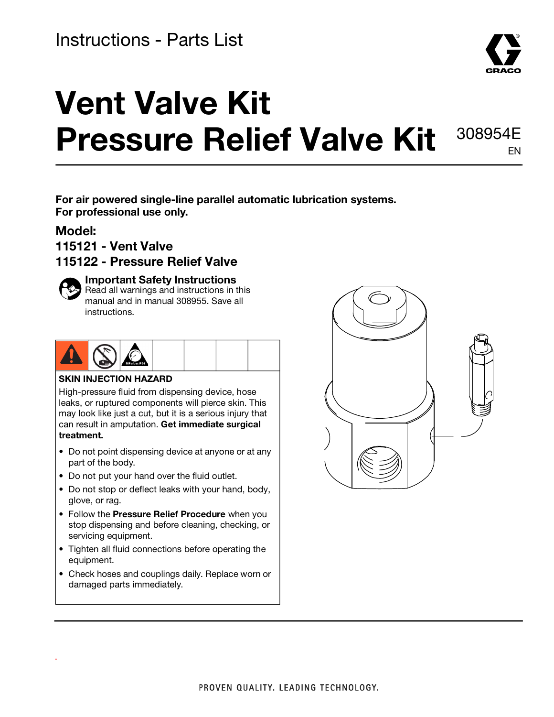

# **Vent Valve Kit Pressure Relief Valve Kit** 308954E EN

**For air powered single-line parallel automatic lubrication systems. For professional use only.**

### **Model:**

- **115121 Vent Valve**
- **115122 Pressure Relief Valve**



.

### **Important Safety Instructions**

Read all warnings and instructions in this manual and in manual 308955. Save all instructions.

| MPa/bar/PSI |  |
|-------------|--|
|-------------|--|

#### **SKIN INJECTION HAZARD**

High-pressure fluid from dispensing device, hose leaks, or ruptured components will pierce skin. This may look like just a cut, but it is a serious injury that can result in amputation. **Get immediate surgical treatment.**

- Do not point dispensing device at anyone or at any part of the body.
- Do not put your hand over the fluid outlet.
- Do not stop or deflect leaks with your hand, body, glove, or rag.
- Follow the **Pressure Relief Procedure** when you stop dispensing and before cleaning, checking, or servicing equipment.
- Tighten all fluid connections before operating the equipment.
- Check hoses and couplings daily. Replace worn or damaged parts immediately.

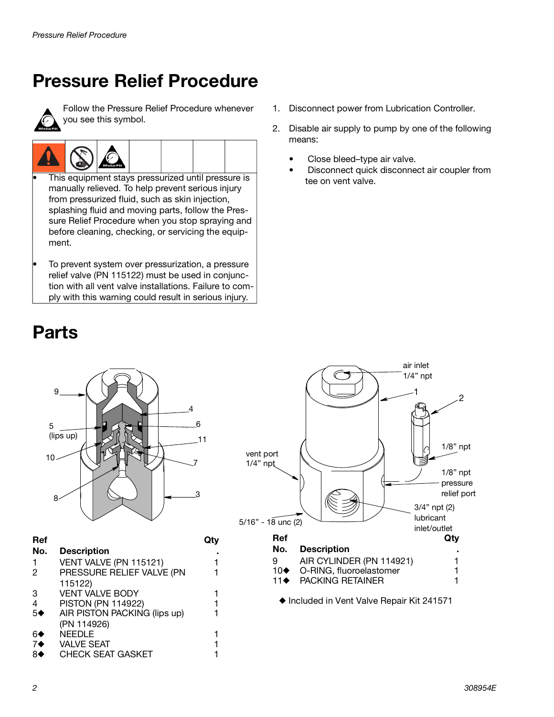## **Pressure Relief Procedure**



Follow the Pressure Relief Procedure whenever you see this symbol.



- This equipment stays pressurized until pressure is manually relieved. To help prevent serious injury from pressurized fluid, such as skin injection, splashing fluid and moving parts, follow the Pressure Relief Procedure when you stop spraying and before cleaning, checking, or servicing the equipment.
- To prevent system over pressurization, a pressure relief valve (PN 115122) must be used in conjunction with all vent valve installations. Failure to comply with this warning could result in serious injury.
- **Parts**



| Ref           |                              |  |
|---------------|------------------------------|--|
| No.           | <b>Description</b>           |  |
|               | VENT VALVE (PN 115121)       |  |
| 2             | PRESSURE RELIEF VALVE (PN    |  |
|               | 115122)                      |  |
| 3             | <b>VENT VALVE BODY</b>       |  |
| 4             | <b>PISTON (PN 114922)</b>    |  |
| 5♦            | AIR PISTON PACKING (lips up) |  |
|               | (PN 114926)                  |  |
| 6♦            | <b>NEEDLE</b>                |  |
| $7\spadesuit$ | <b>VALVE SEAT</b>            |  |
| 8♠            | <b>CHECK SEAT GASKET</b>     |  |
|               |                              |  |

- 1. Disconnect power from Lubrication Controller.
- 2. Disable air supply to pump by one of the following means:
	- Close bleed-type air valve.
	- Disconnect quick disconnect air coupler from tee on vent valve.

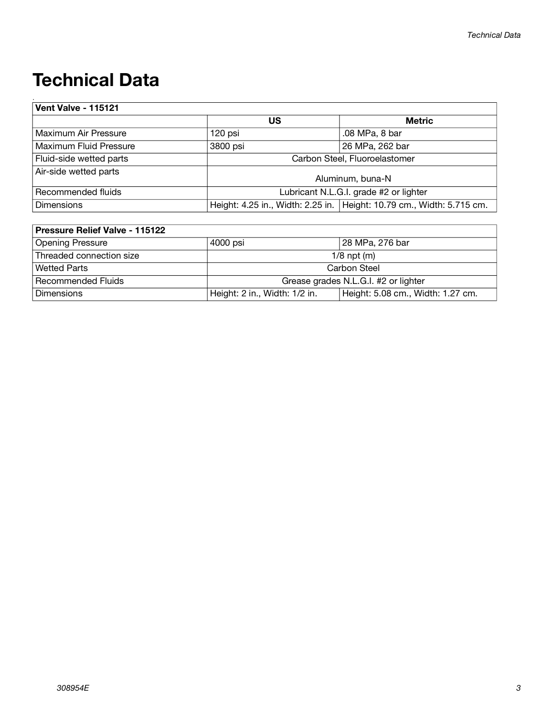## **Technical Data**

| <b>Vent Valve - 115121</b> |          |                                                                         |  |  |  |
|----------------------------|----------|-------------------------------------------------------------------------|--|--|--|
|                            | US       | <b>Metric</b>                                                           |  |  |  |
| Maximum Air Pressure       | 120 psi  | .08 MPa, 8 bar                                                          |  |  |  |
| Maximum Fluid Pressure     | 3800 psi | 26 MPa, 262 bar                                                         |  |  |  |
| Fluid-side wetted parts    |          | Carbon Steel, Fluoroelastomer                                           |  |  |  |
| Air-side wetted parts      |          | Aluminum, buna-N                                                        |  |  |  |
| Recommended fluids         |          | Lubricant N.L.G.I. grade #2 or lighter                                  |  |  |  |
| <b>Dimensions</b>          |          | Height: 4.25 in., Width: 2.25 in.   Height: 10.79 cm., Width: 5.715 cm. |  |  |  |

| <b>Pressure Relief Valve - 115122</b> |                                      |                                   |  |  |  |  |
|---------------------------------------|--------------------------------------|-----------------------------------|--|--|--|--|
| <b>Opening Pressure</b>               | 4000 psi                             | 28 MPa, 276 bar                   |  |  |  |  |
| Threaded connection size              | $1/8$ npt (m)                        |                                   |  |  |  |  |
| <b>Wetted Parts</b>                   | Carbon Steel                         |                                   |  |  |  |  |
| Recommended Fluids                    | Grease grades N.L.G.I. #2 or lighter |                                   |  |  |  |  |
| <b>Dimensions</b>                     | Height: 2 in., Width: 1/2 in.        | Height: 5.08 cm., Width: 1.27 cm. |  |  |  |  |